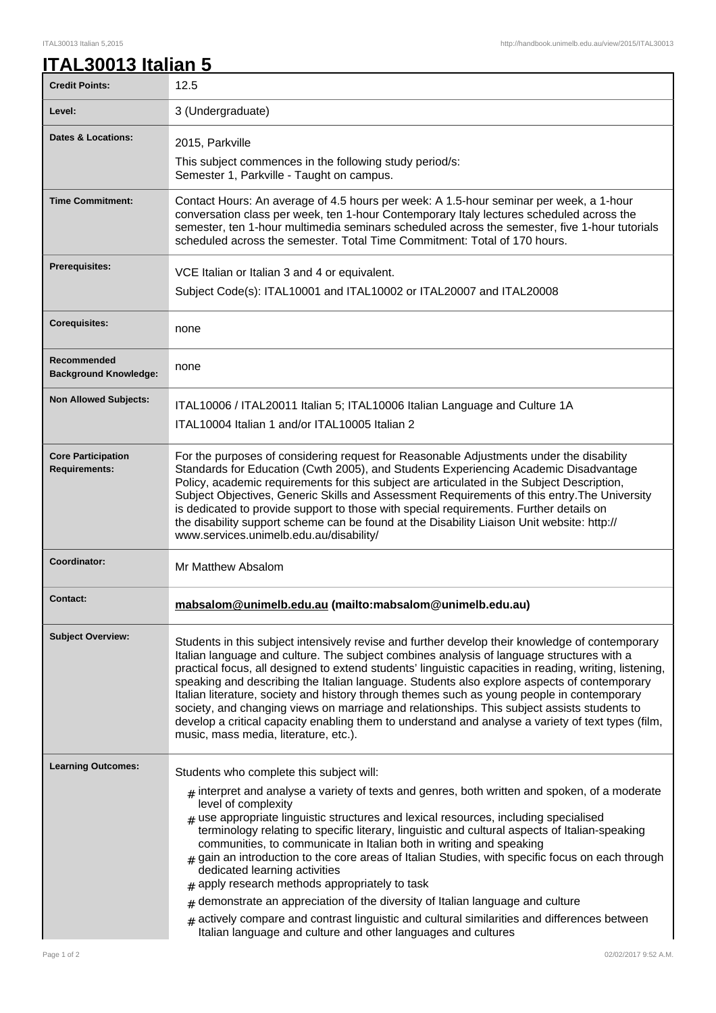## ITAL30013 Italian 5,2015 http://handbook.unimelb.edu.au/view/2015/ITAL30013

|  |  |  | ITAL30013 Italian 5 |  |
|--|--|--|---------------------|--|
|  |  |  |                     |  |

| <b>Credit Points:</b>                             | 12.5                                                                                                                                                                                                                                                                                                                                                                                                                                                                                                                                                                                                                                                                                                                                                                                                                                                 |
|---------------------------------------------------|------------------------------------------------------------------------------------------------------------------------------------------------------------------------------------------------------------------------------------------------------------------------------------------------------------------------------------------------------------------------------------------------------------------------------------------------------------------------------------------------------------------------------------------------------------------------------------------------------------------------------------------------------------------------------------------------------------------------------------------------------------------------------------------------------------------------------------------------------|
| Level:                                            | 3 (Undergraduate)                                                                                                                                                                                                                                                                                                                                                                                                                                                                                                                                                                                                                                                                                                                                                                                                                                    |
| Dates & Locations:                                | 2015, Parkville                                                                                                                                                                                                                                                                                                                                                                                                                                                                                                                                                                                                                                                                                                                                                                                                                                      |
|                                                   | This subject commences in the following study period/s:<br>Semester 1, Parkville - Taught on campus.                                                                                                                                                                                                                                                                                                                                                                                                                                                                                                                                                                                                                                                                                                                                                 |
| <b>Time Commitment:</b>                           | Contact Hours: An average of 4.5 hours per week: A 1.5-hour seminar per week, a 1-hour<br>conversation class per week, ten 1-hour Contemporary Italy lectures scheduled across the<br>semester, ten 1-hour multimedia seminars scheduled across the semester, five 1-hour tutorials<br>scheduled across the semester. Total Time Commitment: Total of 170 hours.                                                                                                                                                                                                                                                                                                                                                                                                                                                                                     |
| <b>Prerequisites:</b>                             | VCE Italian or Italian 3 and 4 or equivalent.                                                                                                                                                                                                                                                                                                                                                                                                                                                                                                                                                                                                                                                                                                                                                                                                        |
|                                                   | Subject Code(s): ITAL10001 and ITAL10002 or ITAL20007 and ITAL20008                                                                                                                                                                                                                                                                                                                                                                                                                                                                                                                                                                                                                                                                                                                                                                                  |
| <b>Corequisites:</b>                              | none                                                                                                                                                                                                                                                                                                                                                                                                                                                                                                                                                                                                                                                                                                                                                                                                                                                 |
| Recommended<br><b>Background Knowledge:</b>       | none                                                                                                                                                                                                                                                                                                                                                                                                                                                                                                                                                                                                                                                                                                                                                                                                                                                 |
| <b>Non Allowed Subjects:</b>                      | ITAL10006 / ITAL20011 Italian 5; ITAL10006 Italian Language and Culture 1A                                                                                                                                                                                                                                                                                                                                                                                                                                                                                                                                                                                                                                                                                                                                                                           |
|                                                   | ITAL10004 Italian 1 and/or ITAL10005 Italian 2                                                                                                                                                                                                                                                                                                                                                                                                                                                                                                                                                                                                                                                                                                                                                                                                       |
| <b>Core Participation</b><br><b>Requirements:</b> | For the purposes of considering request for Reasonable Adjustments under the disability<br>Standards for Education (Cwth 2005), and Students Experiencing Academic Disadvantage<br>Policy, academic requirements for this subject are articulated in the Subject Description,<br>Subject Objectives, Generic Skills and Assessment Requirements of this entry. The University<br>is dedicated to provide support to those with special requirements. Further details on<br>the disability support scheme can be found at the Disability Liaison Unit website: http://<br>www.services.unimelb.edu.au/disability/                                                                                                                                                                                                                                     |
| Coordinator:                                      | Mr Matthew Absalom                                                                                                                                                                                                                                                                                                                                                                                                                                                                                                                                                                                                                                                                                                                                                                                                                                   |
| <b>Contact:</b>                                   | mabsalom@unimelb.edu.au (mailto:mabsalom@unimelb.edu.au)                                                                                                                                                                                                                                                                                                                                                                                                                                                                                                                                                                                                                                                                                                                                                                                             |
| <b>Subject Overview:</b>                          | Students in this subject intensively revise and further develop their knowledge of contemporary<br>Italian language and culture. The subject combines analysis of language structures with a<br>practical focus, all designed to extend students' linguistic capacities in reading, writing, listening,<br>speaking and describing the Italian language. Students also explore aspects of contemporary<br>Italian literature, society and history through themes such as young people in contemporary<br>society, and changing views on marriage and relationships. This subject assists students to<br>develop a critical capacity enabling them to understand and analyse a variety of text types (film,<br>music, mass media, literature, etc.).                                                                                                  |
| <b>Learning Outcomes:</b>                         | Students who complete this subject will:                                                                                                                                                                                                                                                                                                                                                                                                                                                                                                                                                                                                                                                                                                                                                                                                             |
|                                                   | $#$ interpret and analyse a variety of texts and genres, both written and spoken, of a moderate<br>level of complexity<br>$*$ use appropriate linguistic structures and lexical resources, including specialised<br>terminology relating to specific literary, linguistic and cultural aspects of Italian-speaking<br>communities, to communicate in Italian both in writing and speaking<br>$_{\#}$ gain an introduction to the core areas of Italian Studies, with specific focus on each through<br>dedicated learning activities<br>$#$ apply research methods appropriately to task<br>demonstrate an appreciation of the diversity of Italian language and culture<br>#<br>$_{\#}$ actively compare and contrast linguistic and cultural similarities and differences between<br>Italian language and culture and other languages and cultures |